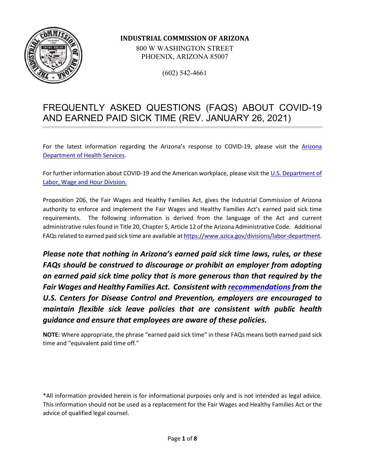

#### **INDUSTRIAL COMMISSION OF ARIZONA**

800 W WASHINGTON STREET PHOENIX, ARIZONA 85007

(602) 542-4661

# FREQUENTLY ASKED QUESTIONS (FAQS) ABOUT COVID-19 AND EARNED PAID SICK TIME (REV. JANUARY 26, 2021)

For the latest information regarding the Arizona's response to COVID-19, please visit the [Arizona](http://www.azdhs.gov/covid19)  [Department of Health Services.](http://www.azdhs.gov/covid19)

For further information about COVID-19 and the American workplace, please visit the [U.S. Department of](https://www.dol.gov/agencies/whd/pandemic)  [Labor, Wage and Hour Division.](https://www.dol.gov/agencies/whd/pandemic) 

Proposition 206, the Fair Wages and Healthy Families Act, gives the Industrial Commission of Arizona authority to enforce and implement the Fair Wages and Healthy Families Act's earned paid sick time requirements. The following information is derived from the language of the Act and current administrative rules found in Title 20, Chapter 5, Article 12 of the Arizona Administrative Code. Additional FAQs related to earned paid sick time are available a[t https://www.azica.gov/divisions/labor-department.](https://www.azica.gov/divisions/labor-department)

*Please note that nothing in Arizona's earned paid sick time laws, rules, or these FAQs should be construed to discourage or prohibit an employer from adopting an earned paid sick time policy that is more generous than that required by the Fair Wages and Healthy Families Act. Consistent with [recommendations](https://www.cdc.gov/coronavirus/2019-ncov/community/guidance-business-response.html)from the U.S. Centers for Disease Control and Prevention, employers are encouraged to maintain flexible sick leave policies that are consistent with public health guidance and ensure that employees are aware of these policies.* 

**NOTE:** Where appropriate, the phrase "earned paid sick time" in these FAQs means both earned paid sick time and "equivalent paid time off."

\*All information provided herein is for informational purposes only and is not intended as legal advice. This information should not be used as a replacement for the Fair Wages and Healthy Families Act or the advice of qualified legal counsel.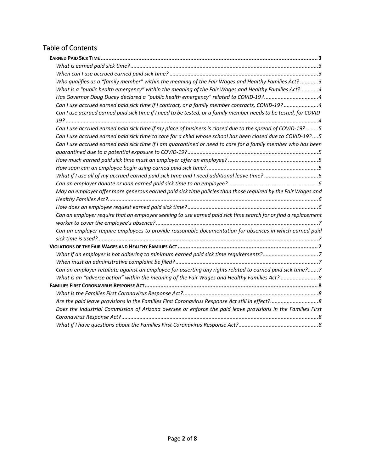## Table of Contents

| Who qualifies as a "family member" within the meaning of the Fair Wages and Healthy Families Act? 3               |
|-------------------------------------------------------------------------------------------------------------------|
| What is a "public health emergency" within the meaning of the Fair Wages and Healthy Families Act?4               |
| Has Governor Doug Ducey declared a "public health emergency" related to COVID-19?4                                |
| Can I use accrued earned paid sick time if I contract, or a family member contracts, COVID-19? 4                  |
| Can I use accrued earned paid sick time if I need to be tested, or a family member needs to be tested, for COVID- |
|                                                                                                                   |
| Can I use accrued earned paid sick time if my place of business is closed due to the spread of COVID-19? 5        |
| Can I use accrued earned paid sick time to care for a child whose school has been closed due to COVID-19?5        |
| Can I use accrued earned paid sick time if I am quarantined or need to care for a family member who has been      |
|                                                                                                                   |
|                                                                                                                   |
|                                                                                                                   |
|                                                                                                                   |
|                                                                                                                   |
| May an employer offer more generous earned paid sick time policies than those required by the Fair Wages and      |
|                                                                                                                   |
|                                                                                                                   |
| Can an employer require that an employee seeking to use earned paid sick time search for or find a replacement    |
|                                                                                                                   |
| Can an employer require employees to provide reasonable documentation for absences in which earned paid           |
|                                                                                                                   |
|                                                                                                                   |
| What if an employer is not adhering to minimum earned paid sick time requirements?7                               |
|                                                                                                                   |
| Can an employer retaliate against an employee for asserting any rights related to earned paid sick time?7         |
| What is an "adverse action" within the meaning of the Fair Wages and Healthy Families Act?8                       |
|                                                                                                                   |
|                                                                                                                   |
|                                                                                                                   |
| Does the Industrial Commission of Arizona oversee or enforce the paid leave provisions in the Families First      |
|                                                                                                                   |
|                                                                                                                   |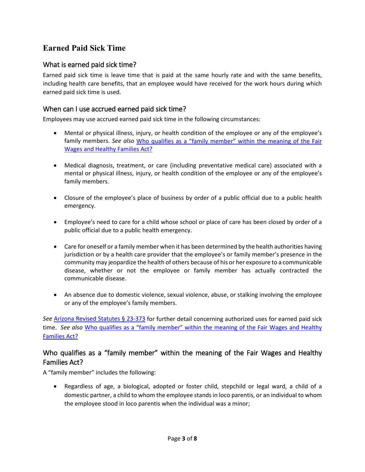## <span id="page-2-0"></span>**Earned Paid Sick Time**

#### <span id="page-2-1"></span>What is earned paid sick time?

Earned paid sick time is leave time that is paid at the same hourly rate and with the same benefits, including health care benefits, that an employee would have received for the work hours during which earned paid sick time is used.

#### <span id="page-2-2"></span>When can I use accrued earned paid sick time?

Employees may use accrued earned paid sick time in the following circumstances:

- Mental or physical illness, injury, or health condition of the employee or any of the employee's family members. *See also* [Who qualifies as a "family member" within the meaning of the Fair](#page-2-3)  [Wages and Healthy Families Act?](#page-2-3)
- Medical diagnosis, treatment, or care (including preventative medical care) associated with a mental or physical illness, injury, or health condition of the employee or any of the employee's family members.
- Closure of the employee's place of business by order of a public official due to a public health emergency.
- Employee's need to care for a child whose school or place of care has been closed by order of a public official due to a public health emergency.
- Care for oneself or a family member when it has been determined by the health authorities having jurisdiction or by a health care provider that the employee's or family member's presence in the community may jeopardize the health of others because of his or her exposure to a communicable disease, whether or not the employee or family member has actually contracted the communicable disease.
- An absence due to domestic violence, sexual violence, abuse, or stalking involving the employee or any of the employee's family members.

*See* [Arizona Revised Statutes § 23-373](http://www.azleg.gov/viewdocument/?docName=http://www.azleg.gov/ars/23/00373.htm) for further detail concerning authorized uses for earned paid sick time. *See also* [Who qualifies as a "family member" within the meaning of the Fair Wages and Healthy](#page-2-3)  [Families Act?](#page-2-3)

#### <span id="page-2-3"></span>Who qualifies as a "family member" within the meaning of the Fair Wages and Healthy Families Act?

A "family member" includes the following:

• Regardless of age, a biological, adopted or foster child, stepchild or legal ward, a child of a domestic partner, a child to whom the employee stands in loco parentis, or an individual to whom the employee stood in loco parentis when the individual was a minor;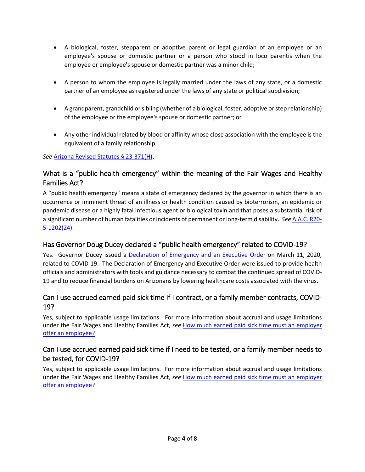- A biological, foster, stepparent or adoptive parent or legal guardian of an employee or an employee's spouse or domestic partner or a person who stood in loco parentis when the employee or employee's spouse or domestic partner was a minor child;
- A person to whom the employee is legally married under the laws of any state, or a domestic partner of an employee as registered under the laws of any state or political subdivision;
- A grandparent, grandchild or sibling (whether of a biological, foster, adoptive or step relationship) of the employee or the employee's spouse or domestic partner; or
- Any other individual related by blood or affinity whose close association with the employee is the equivalent of a family relationship.

#### *See* [Arizona Revised Statutes](https://www.azleg.gov/viewdocument/?docName=https://www.azleg.gov/ars/23/00371.htm) § 23-371(H).

## <span id="page-3-0"></span>What is a "public health emergency" within the meaning of the Fair Wages and Healthy Families Act?

A "public health emergency" means a state of emergency declared by the governor in which there is an occurrence or imminent threat of an illness or health condition caused by bioterrorism, an epidemic or pandemic disease or a highly fatal infectious agent or biological toxin and that poses a substantial risk of a significant number of human fatalities or incidents of permanent or long-term disability. *See* [A.A.C. R20-](https://apps.azsos.gov/public_services/Title_20/20-05.pdf) [5-1202\(24\).](https://apps.azsos.gov/public_services/Title_20/20-05.pdf)

#### <span id="page-3-1"></span>Has Governor Doug Ducey declared a "public health emergency" related to COVID-19?

Yes. Governor Ducey issued a [Declaration of Emergency and an Executive Order](https://azgovernor.gov/governor/news/2020/03/governor-doug-ducey-issues-declaration-emergency-executive-order-combat) on March 11, 2020, related to COVID-19. The Declaration of Emergency and Executive Order were issued to provide health officials and administrators with tools and guidance necessary to combat the continued spread of COVID-19 and to reduce financial burdens on Arizonans by lowering healthcare costs associated with the virus.

## <span id="page-3-2"></span>Can I use accrued earned paid sick time if I contract, or a family member contracts, COVID-19?

Yes, subject to applicable usage limitations. For more information about accrual and usage limitations under the Fair Wages and Healthy Families Act, *see* [How much earned paid sick time must an employer](#page-4-3)  [offer an employee?](#page-4-3) 

## <span id="page-3-3"></span>Can I use accrued earned paid sick time if I need to be tested, or a family member needs to be tested, for COVID-19?

Yes, subject to applicable usage limitations. For more information about accrual and usage limitations under the Fair Wages and Healthy Families Act, *see* [How much earned paid sick time must an employer](#page-4-3)  [offer an employee?](#page-4-3)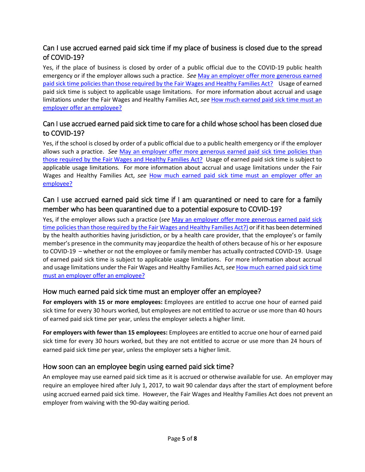## <span id="page-4-0"></span>Can I use accrued earned paid sick time if my place of business is closed due to the spread of COVID-19?

Yes, if the place of business is closed by order of a public official due to the COVID-19 public health emergency or if the employer allows such a practice. *See* [May an employer offer more generous earned](#page-5-2)  [paid sick time policies than those required by the Fair Wages and Healthy Families Act?](#page-5-2) Usage of earned paid sick time is subject to applicable usage limitations. For more information about accrual and usage limitations under the Fair Wages and Healthy Families Act, *see* [How much earned paid sick time must an](#page-4-3)  [employer offer an employee?](#page-4-3) 

## <span id="page-4-1"></span>Can I use accrued earned paid sick time to care for a child whose school has been closed due to COVID-19?

Yes, if the school is closed by order of a public official due to a public health emergency or if the employer allows such a practice. *See* [May an employer offer more generous earned paid sick time policies than](#page-5-2)  [those required by the Fair Wages and Healthy Families Act?](#page-5-2) Usage of earned paid sick time is subject to applicable usage limitations. For more information about accrual and usage limitations under the Fair Wages and Healthy Families Act, *see* [How much earned paid sick time must an employer offer an](#page-4-3)  [employee?](#page-4-3) 

## <span id="page-4-2"></span>Can I use accrued earned paid sick time if I am quarantined or need to care for a family member who has been quarantined due to a potential exposure to COVID-19?

Yes, if the employer allows such a practice (*see* [May an employer offer more generous earned paid sick](#page-5-2)  [time policies than those required by the Fair Wages and Healthy Families Act?\)](#page-5-2) or if it has been determined by the health authorities having jurisdiction, or by a health care provider, that the employee's or family member's presence in the community may jeopardize the health of others because of his or her exposure to COVID-19 – whether or not the employee or family member has actually contracted COVID-19. Usage of earned paid sick time is subject to applicable usage limitations. For more information about accrual and usage limitations under the Fair Wages and Healthy Families Act, *see* [How much earned paid sick time](#page-4-3)  [must an employer offer an employee?](#page-4-3) 

#### <span id="page-4-3"></span>How much earned paid sick time must an employer offer an employee?

**For employers with 15 or more employees:** Employees are entitled to accrue one hour of earned paid sick time for every 30 hours worked, but employees are not entitled to accrue or use more than 40 hours of earned paid sick time per year, unless the employer selects a higher limit.

**For employers with fewer than 15 employees:** Employees are entitled to accrue one hour of earned paid sick time for every 30 hours worked, but they are not entitled to accrue or use more than 24 hours of earned paid sick time per year, unless the employer sets a higher limit.

#### <span id="page-4-4"></span>How soon can an employee begin using earned paid sick time?

An employee may use earned paid sick time as it is accrued or otherwise available for use. An employer may require an employee hired after July 1, 2017, to wait 90 calendar days after the start of employment before using accrued earned paid sick time. However, the Fair Wages and Healthy Families Act does not prevent an employer from waiving with the 90-day waiting period.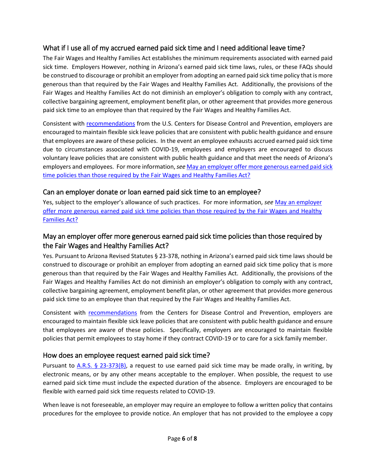## <span id="page-5-0"></span>What if I use all of my accrued earned paid sick time and I need additional leave time?

The Fair Wages and Healthy Families Act establishes the minimum requirements associated with earned paid sick time. Employers However, nothing in Arizona's earned paid sick time laws, rules, or these FAQs should be construed to discourage or prohibit an employer from adopting an earned paid sick time policy that is more generous than that required by the Fair Wages and Healthy Families Act. Additionally, the provisions of the Fair Wages and Healthy Families Act do not diminish an employer's obligation to comply with any contract, collective bargaining agreement, employment benefit plan, or other agreement that provides more generous paid sick time to an employee than that required by the Fair Wages and Healthy Families Act.

Consistent with [recommendations](https://www.cdc.gov/coronavirus/2019-ncov/community/guidance-business-response.html) from the U.S. Centers for Disease Control and Prevention, employers are encouraged to maintain flexible sick leave policies that are consistent with public health guidance and ensure that employees are aware of these policies. In the event an employee exhausts accrued earned paid sick time due to circumstances associated with COVID-19, employees and employers are encouraged to discuss voluntary leave policies that are consistent with public health guidance and that meet the needs of Arizona's employers and employees. For more information, *see* [May an employer offer more generous earned paid sick](#page-5-2)  [time policies than those required by the Fair Wages and Healthy Families Act?](#page-5-2)

#### <span id="page-5-1"></span>Can an employer donate or loan earned paid sick time to an employee?

Yes, subject to the employer's allowance of such practices. For more information, *see* [May an employer](#page-5-2)  [offer more generous earned paid sick time policies than those required by the Fair Wages and Healthy](#page-5-2)  [Families Act?](#page-5-2)

## <span id="page-5-2"></span>May an employer offer more generous earned paid sick time policies than those required by the Fair Wages and Healthy Families Act?

Yes. Pursuant to Arizona Revised Statutes § 23-378, nothing in Arizona's earned paid sick time laws should be construed to discourage or prohibit an employer from adopting an earned paid sick time policy that is more generous than that required by the Fair Wages and Healthy Families Act. Additionally, the provisions of the Fair Wages and Healthy Families Act do not diminish an employer's obligation to comply with any contract, collective bargaining agreement, employment benefit plan, or other agreement that provides more generous paid sick time to an employee than that required by the Fair Wages and Healthy Families Act.

Consistent with [recommendations](https://www.cdc.gov/coronavirus/2019-ncov/community/guidance-business-response.html) from the Centers for Disease Control and Prevention, employers are encouraged to maintain flexible sick leave policies that are consistent with public health guidance and ensure that employees are aware of these policies. Specifically, employers are encouraged to maintain flexible policies that permit employees to stay home if they contract COVID-19 or to care for a sick family member.

#### <span id="page-5-3"></span>How does an employee request earned paid sick time?

Pursuant to  $A.R.S. \S 23-373(B)$ , a request to use earned paid sick time may be made orally, in writing, by electronic means, or by any other means acceptable to the employer. When possible, the request to use earned paid sick time must include the expected duration of the absence. Employers are encouraged to be flexible with earned paid sick time requests related to COVID-19.

When leave is not foreseeable, an employer may require an employee to follow a written policy that contains procedures for the employee to provide notice. An employer that has not provided to the employee a copy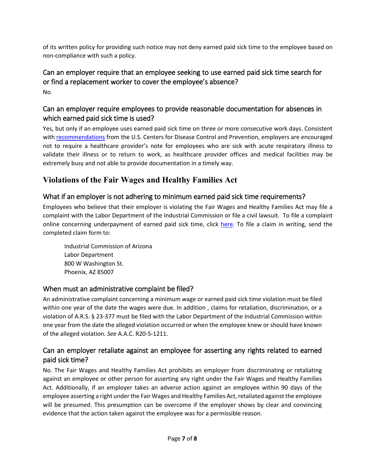of its written policy for providing such notice may not deny earned paid sick time to the employee based on non-compliance with such a policy.

## <span id="page-6-0"></span>Can an employer require that an employee seeking to use earned paid sick time search for or find a replacement worker to cover the employee's absence? No.

## <span id="page-6-1"></span>Can an employer require employees to provide reasonable documentation for absences in which earned paid sick time is used?

Yes, but only if an employee uses earned paid sick time on three or more consecutive work days. Consistent with [recommendations](https://www.cdc.gov/coronavirus/2019-ncov/community/guidance-business-response.html) from the U.S. Centers for Disease Control and Prevention, employers are encouraged not to require a healthcare provider's note for employees who are sick with acute respiratory illness to validate their illness or to return to work, as healthcare provider offices and medical facilities may be extremely busy and not able to provide documentation in a timely way.

# <span id="page-6-2"></span>**Violations of the Fair Wages and Healthy Families Act**

## <span id="page-6-3"></span>What if an employer is not adhering to minimum earned paid sick time requirements?

Employees who believe that their employer is violating the Fair Wages and Healthy Families Act may file a complaint with the Labor Department of the Industrial Commission or file a civil lawsuit. To file a complaint online concerning underpayment of earned paid sick time, click [here.](https://www.azica.gov/forms/labor3305) To file a claim in writing, send the completed claim form to:

Industrial Commission of Arizona Labor Department 800 W Washington St. Phoenix, AZ 85007

## <span id="page-6-4"></span>When must an administrative complaint be filed?

An administrative complaint concerning a minimum wage or earned paid sick time violation must be filed within one year of the date the wages were due. In addition , claims for retaliation, discrimination, or a violation of A.R.S. § 23-377 must be filed with the Labor Department of the Industrial Commission within one year from the date the alleged violation occurred or when the employee knew or should have known of the alleged violation. *See* A.A.C. R20-5-1211.

## <span id="page-6-5"></span>Can an employer retaliate against an employee for asserting any rights related to earned paid sick time?

No. The Fair Wages and Healthy Families Act prohibits an employer from discriminating or retaliating against an employee or other person for asserting any right under the Fair Wages and Healthy Families Act. Additionally, if an employer takes an adverse action against an employee within 90 days of the employee asserting a right under the Fair Wages and Healthy Families Act, retaliated against the employee will be presumed. This presumption can be overcome if the employer shows by clear and convincing evidence that the action taken against the employee was for a permissible reason.